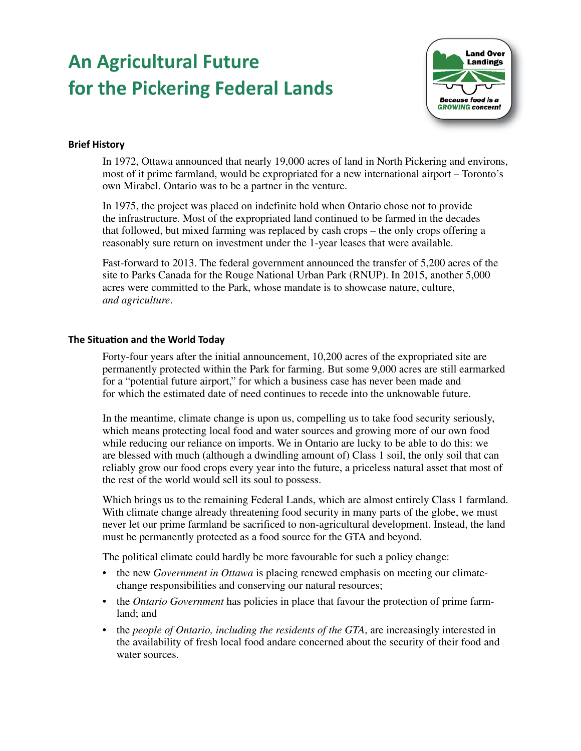# **An Agricultural Future for the Pickering Federal Lands**



## **Brief History**

In 1972, Ottawa announced that nearly 19,000 acres of land in North Pickering and environs, most of it prime farmland, would be expropriated for a new international airport – Toronto's own Mirabel. Ontario was to be a partner in the venture.

In 1975, the project was placed on indefinite hold when Ontario chose not to provide the infrastructure. Most of the expropriated land continued to be farmed in the decades that followed, but mixed farming was replaced by cash crops – the only crops offering a reasonably sure return on investment under the 1-year leases that were available.

Fast-forward to 2013. The federal government announced the transfer of 5,200 acres of the site to Parks Canada for the Rouge National Urban Park (RNUP). In 2015, another 5,000 acres were committed to the Park, whose mandate is to showcase nature, culture, *and agriculture*.

### **The Situation and the World Today**

Forty-four years after the initial announcement, 10,200 acres of the expropriated site are permanently protected within the Park for farming. But some 9,000 acres are still earmarked for a "potential future airport," for which a business case has never been made and for which the estimated date of need continues to recede into the unknowable future.

In the meantime, climate change is upon us, compelling us to take food security seriously, which means protecting local food and water sources and growing more of our own food while reducing our reliance on imports. We in Ontario are lucky to be able to do this: we are blessed with much (although a dwindling amount of) Class 1 soil, the only soil that can reliably grow our food crops every year into the future, a priceless natural asset that most of the rest of the world would sell its soul to possess.

Which brings us to the remaining Federal Lands, which are almost entirely Class 1 farmland. With climate change already threatening food security in many parts of the globe, we must never let our prime farmland be sacrificed to non-agricultural development. Instead, the land must be permanently protected as a food source for the GTA and beyond.

The political climate could hardly be more favourable for such a policy change:

- the new *Government in Ottawa* is placing renewed emphasis on meeting our climatechange responsibilities and conserving our natural resources;
- the *Ontario Government* has policies in place that favour the protection of prime farmland; and
- the *people of Ontario, including the residents of the GTA*, are increasingly interested in the availability of fresh local food andare concerned about the security of their food and water sources.